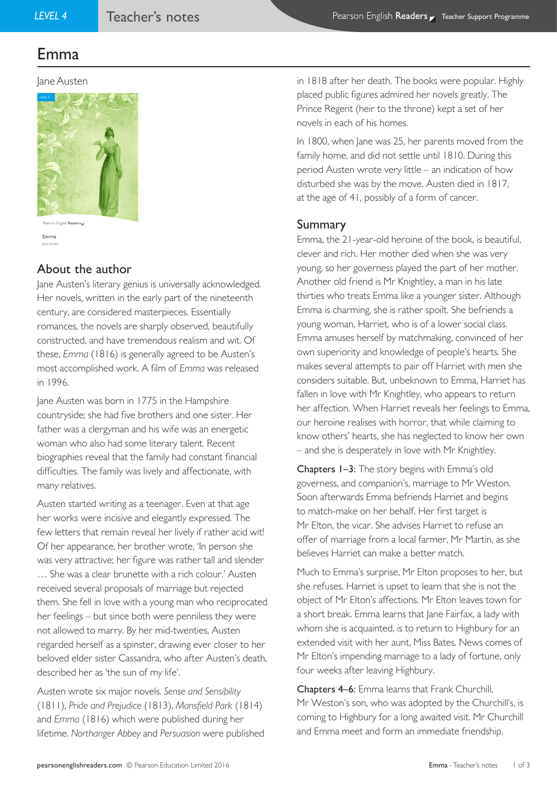#### Jane Austen



on English Readers. Emma

# About the author

Jane Austen's literary genius is universally acknowledged. Her novels, written in the early part of the nineteenth century, are considered masterpieces. Essentially romances, the novels are sharply observed, beautifully constructed, and have tremendous realism and wit. Of these, *Emma* (1816) is generally agreed to be Austen's most accomplished work. A film of *Emma* was released in 1996.

Jane Austen was born in 1775 in the Hampshire countryside; she had five brothers and one sister. Her father was a clergyman and his wife was an energetic woman who also had some literary talent. Recent biographies reveal that the family had constant financial difficulties. The family was lively and affectionate, with many relatives.

Austen started writing as a teenager. Even at that age her works were incisive and elegantly expressed. The few letters that remain reveal her lively if rather acid wit! Of her appearance, her brother wrote, 'In person she was very attractive; her figure was rather tall and slender … She was a clear brunette with a rich colour.' Austen received several proposals of marriage but rejected them. She fell in love with a young man who reciprocated her feelings – but since both were penniless they were not allowed to marry. By her mid-twenties, Austen regarded herself as a spinster, drawing ever closer to her beloved elder sister Cassandra, who after Austen's death, described her as 'the sun of my life'.

Austen wrote six major novels. *Sense and Sensibility*  (1811), *Pride and Prejudice* (1813), *Mansfield Park* (1814) and *Emma* (1816) which were published during her lifetime. *Northanger Abbey* and *Persuasion* were published in 1818 after her death. The books were popular. Highly placed public figures admired her novels greatly. The Prince Regent (heir to the throne) kept a set of her novels in each of his homes.

In 1800, when Jane was 25, her parents moved from the family home, and did not settle until 1810. During this period Austen wrote very little – an indication of how disturbed she was by the move. Austen died in 1817, at the age of 41, possibly of a form of cancer.

## Summary

Emma, the 21-year-old heroine of the book, is beautiful, clever and rich. Her mother died when she was very young, so her governess played the part of her mother. Another old friend is Mr Knightley, a man in his late thirties who treats Emma like a younger sister. Although Emma is charming, she is rather spoilt. She befriends a young woman, Harriet, who is of a lower social class. Emma amuses herself by matchmaking, convinced of her own superiority and knowledge of people's hearts. She makes several attempts to pair off Harriet with men she considers suitable. But, unbeknown to Emma, Harriet has fallen in love with Mr Knightley, who appears to return her affection. When Harriet reveals her feelings to Emma, our heroine realises with horror, that while claiming to know others' hearts, she has neglected to know her own – and she is desperately in love with Mr Knightley.

Chapters 1–3: The story begins with Emma's old governess, and companion's, marriage to Mr Weston. Soon afterwards Emma befriends Harriet and begins to match-make on her behalf. Her first target is Mr Elton, the vicar. She advises Harriet to refuse an offer of marriage from a local farmer, Mr Martin, as she believes Harriet can make a better match.

Much to Emma's surprise, Mr Elton proposes to her, but she refuses. Harriet is upset to learn that she is not the object of Mr Elton's affections. Mr Elton leaves town for a short break. Emma learns that Jane Fairfax, a lady with whom she is acquainted, is to return to Highbury for an extended visit with her aunt, Miss Bates. News comes of Mr Elton's impending marriage to a lady of fortune, only four weeks after leaving Highbury.

Chapters 4–6: Emma learns that Frank Churchill, Mr Weston's son, who was adopted by the Churchill's, is coming to Highbury for a long awaited visit. Mr Churchill and Emma meet and form an immediate friendship.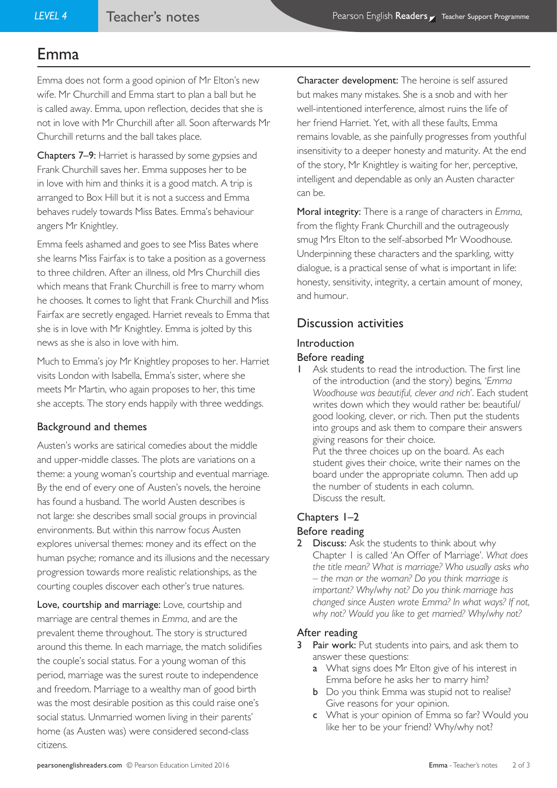Emma does not form a good opinion of Mr Elton's new wife. Mr Churchill and Emma start to plan a ball but he is called away. Emma, upon reflection, decides that she is not in love with Mr Churchill after all. Soon afterwards Mr Churchill returns and the ball takes place.

Chapters 7–9: Harriet is harassed by some gypsies and Frank Churchill saves her. Emma supposes her to be in love with him and thinks it is a good match. A trip is arranged to Box Hill but it is not a success and Emma behaves rudely towards Miss Bates. Emma's behaviour angers Mr Knightley.

Emma feels ashamed and goes to see Miss Bates where she learns Miss Fairfax is to take a position as a governess to three children. After an illness, old Mrs Churchill dies which means that Frank Churchill is free to marry whom he chooses. It comes to light that Frank Churchill and Miss Fairfax are secretly engaged. Harriet reveals to Emma that she is in love with Mr Knightley. Emma is jolted by this news as she is also in love with him.

Much to Emma's joy Mr Knightley proposes to her. Harriet visits London with Isabella, Emma's sister, where she meets Mr Martin, who again proposes to her, this time she accepts. The story ends happily with three weddings.

## Background and themes

Austen's works are satirical comedies about the middle and upper-middle classes. The plots are variations on a theme: a young woman's courtship and eventual marriage. By the end of every one of Austen's novels, the heroine has found a husband. The world Austen describes is not large: she describes small social groups in provincial environments. But within this narrow focus Austen explores universal themes: money and its effect on the human psyche; romance and its illusions and the necessary progression towards more realistic relationships, as the courting couples discover each other's true natures.

Love, courtship and marriage: Love, courtship and marriage are central themes in *Emma*, and are the prevalent theme throughout. The story is structured around this theme. In each marriage, the match solidifies the couple's social status. For a young woman of this period, marriage was the surest route to independence and freedom. Marriage to a wealthy man of good birth was the most desirable position as this could raise one's social status. Unmarried women living in their parents' home (as Austen was) were considered second-class citizens.

Character development: The heroine is self assured but makes many mistakes. She is a snob and with her well-intentioned interference, almost ruins the life of her friend Harriet. Yet, with all these faults, Emma remains lovable, as she painfully progresses from youthful insensitivity to a deeper honesty and maturity. At the end of the story, Mr Knightley is waiting for her, perceptive, intelligent and dependable as only an Austen character can be.

Moral integrity: There is a range of characters in *Emma*, from the flighty Frank Churchill and the outrageously smug Mrs Elton to the self-absorbed Mr Woodhouse. Underpinning these characters and the sparkling, witty dialogue, is a practical sense of what is important in life: honesty, sensitivity, integrity, a certain amount of money, and humour.

# Discussion activities

# Introduction

#### Before reading

1 Ask students to read the introduction. The first line of the introduction (and the story) begins*,* '*Emma Woodhouse was beautiful, clever and rich*'. Each student writes down which they would rather be: beautiful/ good looking, clever, or rich. Then put the students into groups and ask them to compare their answers giving reasons for their choice.

Put the three choices up on the board. As each student gives their choice, write their names on the board under the appropriate column. Then add up the number of students in each column. Discuss the result.

## Chapters 1–2

#### Before reading

2 Discuss: Ask the students to think about why Chapter 1 is called 'An Offer of Marriage'*. What does the title mean? What is marriage? Who usually asks who – the man or the woman? Do you think marriage is important? Why/why not? Do you think marriage has changed since Austen wrote Emma? In what ways? If not, why not? Would you like to get married? Why/why not?*

#### After reading

- 3 Pair work: Put students into pairs, and ask them to answer these questions:
	- a What signs does Mr Elton give of his interest in Emma before he asks her to marry him?
	- **b** Do you think Emma was stupid not to realise? Give reasons for your opinion.
	- c What is your opinion of Emma so far? Would you like her to be your friend? Why/why not?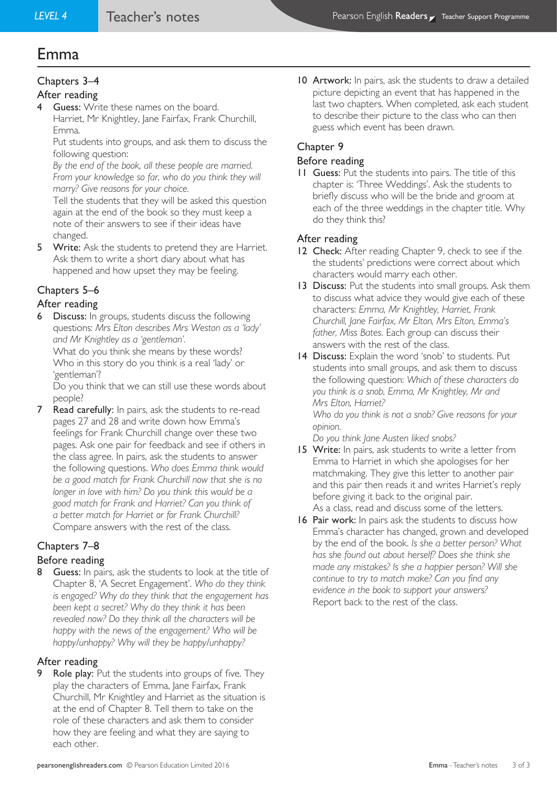# Chapters 3–4

#### After reading

**Guess:** Write these names on the board. Harriet, Mr Knightley, Jane Fairfax, Frank Churchill, Emma.

Put students into groups, and ask them to discuss the following question:

*By the end of the book, all these people are married. From your knowledge so far, who do you think they will marry? Give reasons for your choice.*

Tell the students that they will be asked this question again at the end of the book so they must keep a note of their answers to see if their ideas have changed.

5 Write: Ask the students to pretend they are Harriet. Ask them to write a short diary about what has happened and how upset they may be feeling.

#### Chapters 5–6

#### After reading

6 Discuss: In groups, students discuss the following questions: *Mrs Elton describes Mrs Weston as a 'lady' and Mr Knightley as a 'gentleman'.* 

What do you think she means by these words? Who in this story do you think is a real 'lady' or 'gentleman'?

Do you think that we can still use these words about people?

Read carefully: In pairs, ask the students to re-read pages 27 and 28 and write down how Emma's feelings for Frank Churchill change over these two pages. Ask one pair for feedback and see if others in the class agree. In pairs, ask the students to answer the following questions. *Who does Emma think would be a good match for Frank Churchill now that she is no longer in love with him? Do you think this would be a good match for Frank and Harriet? Can you think of a better match for Harriet or for Frank Churchill?* Compare answers with the rest of the class.

#### Chapters 7–8

#### Before reading

8 Guess: In pairs, ask the students to look at the title of Chapter 8, 'A Secret Engagement'. *Who do they think is engaged? Why do they think that the engagement has been kept a secret? Why do they think it has been revealed now? Do they think all the characters will be happy with the news of the engagement? Who will be happy/unhappy? Why will they be happy/unhappy?*

#### After reading

**9** Role play: Put the students into groups of five. They play the characters of Emma, Jane Fairfax, Frank Churchill, Mr Knightley and Harriet as the situation is at the end of Chapter 8. Tell them to take on the role of these characters and ask them to consider how they are feeling and what they are saying to each other.

10 Artwork: In pairs, ask the students to draw a detailed picture depicting an event that has happened in the last two chapters. When completed, ask each student to describe their picture to the class who can then guess which event has been drawn.

# Chapter 9

#### Before reading

11 Guess: Put the students into pairs. The title of this chapter is: 'Three Weddings'. Ask the students to briefly discuss who will be the bride and groom at each of the three weddings in the chapter title. Why do they think this?

#### After reading

- 12 Check: After reading Chapter 9, check to see if the the students' predictions were correct about which characters would marry each other.
- 13 Discuss: Put the students into small groups. Ask them to discuss what advice they would give each of these characters: *Emma, Mr Knightley, Harriet, Frank Churchill, Jane Fairfax, Mr Elton, Mrs Elton, Emma's father, Miss Bates*. Each group can discuss their answers with the rest of the class.
- 14 Discuss: Explain the word 'snob' to students. Put students into small groups, and ask them to discuss the following question: *Which of these characters do you think is a snob, Emma, Mr Knightley, Mr and Mrs Elton, Harriet? Who do you think is not a snob? Give reasons for your opinion.*

*Do you think Jane Austen liked snobs?* 

- 15 Write: In pairs, ask students to write a letter from Emma to Harriet in which she apologises for her matchmaking. They give this letter to another pair and this pair then reads it and writes Harriet's reply before giving it back to the original pair. As a class, read and discuss some of the letters.
- 16 Pair work: In pairs ask the students to discuss how Emma's character has changed, grown and developed by the end of the book. *Is she a better person? What has she found out about herself? Does she think she made any mistakes? Is she a happier person? Will she continue to try to match make? Can you find any evidence in the book to support your answers?*  Report back to the rest of the class.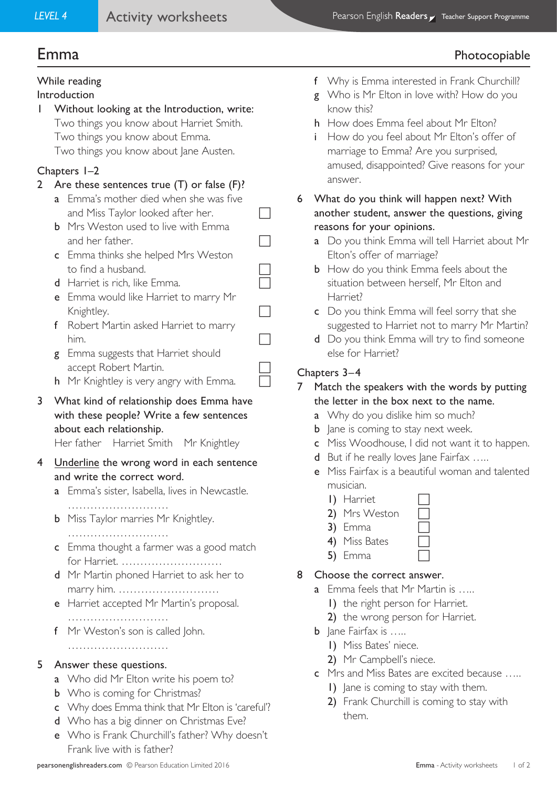# Emma Photocopiable

# While reading

## Introduction

1 Without looking at the Introduction, write: Two things you know about Harriet Smith. Two things you know about Emma. Two things you know about Jane Austen.

## Chapters 1–2

# 2 Are these sentences true (T) or false (F)?

- a Emma's mother died when she was five and Miss Taylor looked after her.  $\Box$
- **b** Mrs Weston used to live with Emma and her father.  $\Box$
- c Emma thinks she helped Mrs Weston to find a husband.
- **d** Harriet is rich, like Emma.  $\Box$
- e Emma would like Harriet to marry Mr Knightley.
- f Robert Martin asked Harriet to marry him.  $\Box$
- **g** Emma suggests that Harriet should accept Robert Martin.
- h Mr Knightley is very angry with Emma.
- 3 What kind of relationship does Emma have with these people? Write a few sentences about each relationship.

Her father Harriet Smith Mr Knightley

- 4 Underline the wrong word in each sentence and write the correct word.
	- a Emma's sister, Isabella, lives in Newcastle.
	- ……………………… **b** Miss Taylor marries Mr Knightley.
	- ……………………… c Emma thought a farmer was a good match
	- for Harriet. ……………………… d Mr Martin phoned Harriet to ask her to
	- marry him. ……………………… e Harriet accepted Mr Martin's proposal. ………………………
	- f Mr Weston's son is called John. ………………………

## 5 Answer these questions.

- a Who did Mr Elton write his poem to?
- **b** Who is coming for Christmas?
- c Why does Emma think that Mr Elton is 'careful'?
- d Who has a big dinner on Christmas Eve?
- e Who is Frank Churchill's father? Why doesn't Frank live with is father?
- f Why is Emma interested in Frank Churchill?
- **g** Who is Mr Elton in love with? How do you know this?
- h How does Emma feel about Mr Elton?
- i How do you feel about Mr Elton's offer of marriage to Emma? Are you surprised, amused, disappointed? Give reasons for your answer.
- 6 What do you think will happen next? With another student, answer the questions, giving reasons for your opinions.
	- a Do you think Emma will tell Harriet about Mr Elton's offer of marriage?
	- **b** How do you think Emma feels about the situation between herself, Mr Elton and Harriet?
	- c Do you think Emma will feel sorry that she suggested to Harriet not to marry Mr Martin?
	- d Do you think Emma will try to find someone else for Harriet?

# Chapters 3–4

- 7 Match the speakers with the words by putting the letter in the box next to the name.
	- a Why do you dislike him so much?
	- **b** Jane is coming to stay next week.
	- c Miss Woodhouse, I did not want it to happen.
	- d But if he really loves lane Fairfax .....
	- e Miss Fairfax is a beautiful woman and talented musician.
		- 1) Harriet
		- 2) Mrs Weston
		- 3) Emma
		- 4) Miss Bates
		- 5) Emma

## 8 Choose the correct answer.

- a Emma feels that Mr Martin is …. .
	- 1) the right person for Harriet.
	- 2) the wrong person for Harriet.
- **b** Jane Fairfax is .....
	- 1) Miss Bates' niece.
	- 2) Mr Campbell's niece.
- c Mrs and Miss Bates are excited because …. .
	- 1) Jane is coming to stay with them.
	- 2) Frank Churchill is coming to stay with them.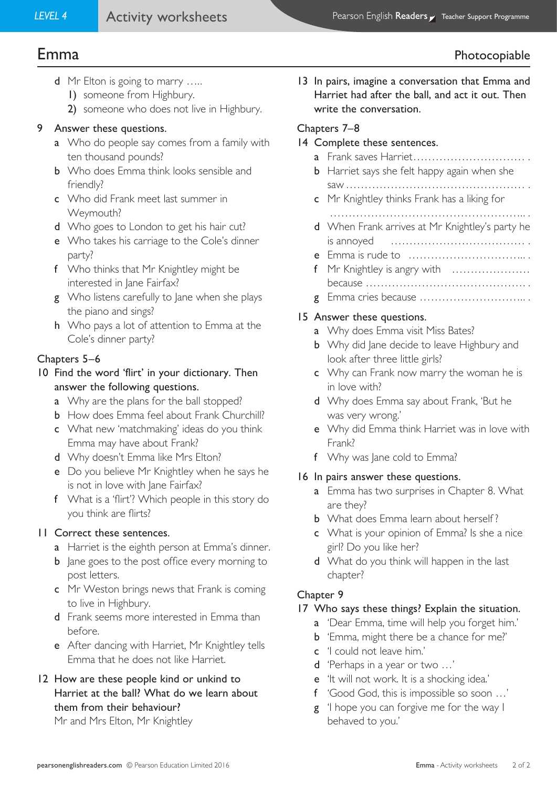# Emma Photocopiable

- d Mr Elton is going to marry .....
	- 1) someone from Highbury.
	- 2) someone who does not live in Highbury.

#### 9 Answer these questions.

- a Who do people say comes from a family with ten thousand pounds?
- **b** Who does Emma think looks sensible and friendly?
- c Who did Frank meet last summer in Weymouth?
- d Who goes to London to get his hair cut?
- e Who takes his carriage to the Cole's dinner party?
- f Who thinks that Mr Knightley might be interested in Jane Fairfax?
- g Who listens carefully to Jane when she plays the piano and sings?
- h Who pays a lot of attention to Emma at the Cole's dinner party?

## Chapters 5–6

- 10 Find the word 'flirt' in your dictionary. Then answer the following questions.
	- a Why are the plans for the ball stopped?
	- **b** How does Emma feel about Frank Churchill?
	- c What new 'matchmaking' ideas do you think Emma may have about Frank?
	- d Why doesn't Emma like Mrs Elton?
	- e Do you believe Mr Knightley when he says he is not in love with Jane Fairfax?
	- f What is a 'flirt'? Which people in this story do you think are flirts?

## 11 Correct these sentences.

- a Harriet is the eighth person at Emma's dinner.
- **b** Jane goes to the post office every morning to post letters.
- c Mr Weston brings news that Frank is coming to live in Highbury.
- d Frank seems more interested in Emma than before.
- e After dancing with Harriet, Mr Knightley tells Emma that he does not like Harriet.
- 12 How are these people kind or unkind to Harriet at the ball? What do we learn about them from their behaviour?

Mr and Mrs Elton, Mr Knightley

13 In pairs, imagine a conversation that Emma and Harriet had after the ball, and act it out. Then write the conversation.

#### Chapters 7–8

#### 14 Complete these sentences.

- a Frank saves Harriet………………………… .
- **b** Harriet says she felt happy again when she
- saw………………………………………… .
- c Mr Knightley thinks Frank has a liking for
- ……………………………………………. . . d When Frank arrives at Mr Knightley's party he
- is annoyed ……………………………… .
- e Emma is rude to …………………………. . . f Mr Knightley is angry with ………………… because ……………………………………. .
- $g$  Emma cries because  $\dots\dots\dots\dots\dots\dots\dots\dots$

## 15 Answer these questions.

- **a** Why does Emma visit Miss Bates?
- **b** Why did Jane decide to leave Highbury and look after three little girls?
- c Why can Frank now marry the woman he is in love with?
- d Why does Emma say about Frank, 'But he was very wrong.'
- e Why did Emma think Harriet was in love with Frank?
- f Why was lane cold to Emma?

## 16 In pairs answer these questions.

- a Emma has two surprises in Chapter 8. What are they?
- **b** What does Emma learn about herself?
- c What is your opinion of Emma? Is she a nice girl? Do you like her?
- d What do you think will happen in the last chapter?

## Chapter 9

## 17 Who says these things? Explain the situation.

- a 'Dear Emma, time will help you forget him.'
- **b** 'Emma, might there be a chance for me?'
- c 'I could not leave him.'
- d 'Perhaps in a year or two …'
- e 'It will not work. It is a shocking idea.'
- f 'Good God, this is impossible so soon …'
- g 'I hope you can forgive me for the way I behaved to you.'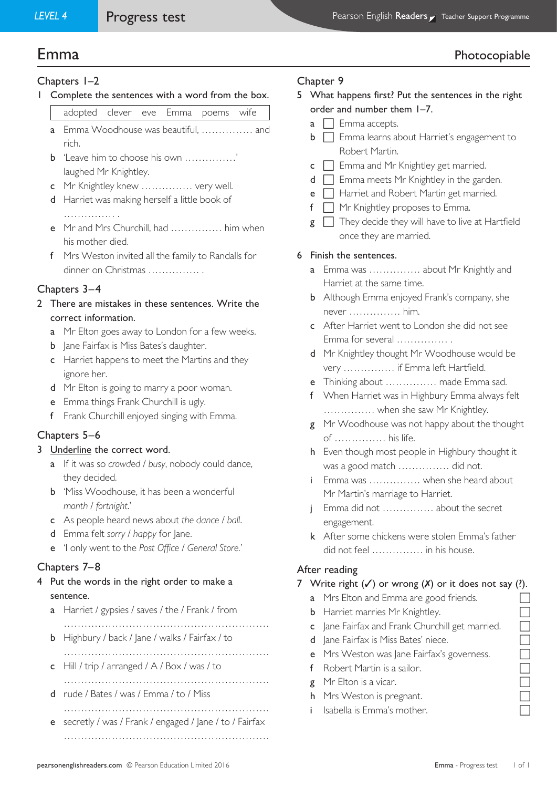# Emma Photocopiable

#### Chapters 1–2

- 1 Complete the sentences with a word from the box.
	- adopted clever eve Emma poems wife
	- a Emma Woodhouse was beautiful, …………… and rich.
	- b 'Leave him to choose his own ……………' laughed Mr Knightley.
	- c Mr Knightley knew …………… very well.
	- d Harriet was making herself a little book of …………… .
	- e Mr and Mrs Churchill, had …………… him when his mother died.
	- f Mrs Weston invited all the family to Randalls for dinner on Christmas …………… .

## Chapters 3–4

- 2 There are mistakes in these sentences. Write the correct information.
	- a Mr Elton goes away to London for a few weeks.
	- **b** Jane Fairfax is Miss Bates's daughter.
	- c Harriet happens to meet the Martins and they ignore her.
	- d Mr Elton is going to marry a poor woman.
	- e Emma things Frank Churchill is ugly.
	- f Frank Churchill enjoyed singing with Emma.

## Chapters 5–6

#### 3 Underline the correct word.

- a If it was so *crowded* / *busy*, nobody could dance, they decided.
- **b** 'Miss Woodhouse, it has been a wonderful *month* / *fortnight*.'
- c As people heard news about *the dance* / *ball*.
- d Emma felt *sorry* / *happy* for Jane.
- e 'I only went to the *Post Office* / *General Store.*'

## Chapters 7–8

#### 4 Put the words in the right order to make a sentence.

- a Harriet / gypsies / saves / the / Frank / from ……………………………………………………
- **b** Highbury / back / Jane / walks / Fairfax / to
- …………………………………………………… c Hill / trip / arranged / A / Box / was / to
- ……………………………………………………
- d rude / Bates / was / Emma / to / Miss
- …………………………………………………… e secretly / was / Frank / engaged / Jane / to / Fairfax

……………………………………………………

# Chapter 9

- 5 What happens first? Put the sentences in the right order and number them 1–7.
	- $\overline{a}$   $\Box$  Emma accepts.
	- $\mathbf{b} \ \Box$  Emma learns about Harriet's engagement to Robert Martin.
	- $c \Box$  Emma and Mr Knightley get married.
	- $d \Box$  Emma meets Mr Knightley in the garden.
	- $e \Box$  Harriet and Robert Martin get married.
	- $f \Box$  Mr Knightley proposes to Emma.
	- $g \Box$  They decide they will have to live at Hartfield once they are married.

#### 6 Finish the sentences.

- a Emma was …………… about Mr Knightly and Harriet at the same time.
- **b** Although Emma enjoyed Frank's company, she never …………… him.
- c After Harriet went to London she did not see Emma for several …………… .
- d Mr Knightley thought Mr Woodhouse would be very …………… if Emma left Hartfield.
- e Thinking about …………… made Emma sad.
- f When Harriet was in Highbury Emma always felt …………… when she saw Mr Knightley.
- g Mr Woodhouse was not happy about the thought of …………… his life.
- h Even though most people in Highbury thought it was a good match …………… did not.
- i Emma was …………… when she heard about Mr Martin's marriage to Harriet.
- j Emma did not …………… about the secret engagement.
- k After some chickens were stolen Emma's father did not feel …………… in his house.

#### After reading

#### 7 Write right  $(\checkmark)$  or wrong  $(\checkmark)$  or it does not say  $(?)$ .

- a Mrs Elton and Emma are good friends.
- **b** Harriet marries Mr Knightley.
- c Jane Fairfax and Frank Churchill get married.
- d Jane Fairfax is Miss Bates' niece.
- e Mrs Weston was Jane Fairfax's governess.
- $f$  Robert Martin is a sailor.
- $g$  Mr Elton is a vicar.
- h Mrs Weston is pregnant.
- i Isabella is Emma's mother.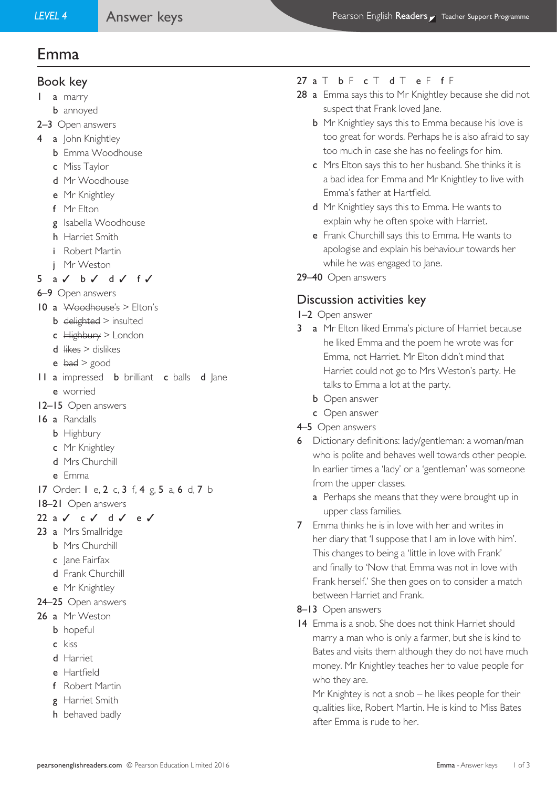#### Book key

- 1 a marry **b** annoyed
- 2–3 Open answers
- 4 a John Knightley
	- b Emma Woodhouse
	- c Miss Taylor
	- d Mr Woodhouse
	- e Mr Knightley
	- f Mr Elton
	- g Isabella Woodhouse
	- h Harriet Smith
	- i Robert Martin
	- j Mr Weston

## 5 a ✓ b ✓ d ✓ f ✓

#### 6–9 Open answers

- 10 a Woodhouse's > Elton's
	- $b$  delighted  $>$  insulted
	- c  $Highbury > London$
	- $d$  likes > dislikes
	- $e$  bad > good
- 11 a impressed b brilliant c balls d Jane e worried
- 12–15 Open answers
- 16 a Randalls
	- **b** Highbury
	- c Mr Knightley
	- d Mrs Churchill
	- e Emma
- 17 Order: I e, 2 c, 3 f, 4 g, 5 a, 6 d, 7 b
- 18–21 Open answers
- 22 a √ c √ d √ e √
- 23 a Mrs Smallridge
	- **b** Mrs Churchill
	- c Jane Fairfax
	- d Frank Churchill
	- e Mr Knightley
- 24–25 Open answers
- 26 a Mr Weston
	- **b** hopeful
	- c kiss
	- d Harriet
	- e Hartfield
	- f Robert Martin
	- g Harriet Smith
	- h behaved badly

## $27 a T b F c T d T e F f F$

- 28 a Emma says this to Mr Knightley because she did not suspect that Frank loved Jane.
	- **b** Mr Knightley says this to Emma because his love is too great for words. Perhaps he is also afraid to say too much in case she has no feelings for him.
	- c Mrs Elton says this to her husband. She thinks it is a bad idea for Emma and Mr Knightley to live with Emma's father at Hartfield.
	- d Mr Knightley says this to Emma. He wants to explain why he often spoke with Harriet.
	- e Frank Churchill says this to Emma. He wants to apologise and explain his behaviour towards her while he was engaged to Jane.
- 29–40 Open answers

## Discussion activities key

1–2 Open answer

- 3 a Mr Elton liked Emma's picture of Harriet because he liked Emma and the poem he wrote was for Emma, not Harriet. Mr Elton didn't mind that Harriet could not go to Mrs Weston's party. He talks to Emma a lot at the party.
	- **b** Open answer
	- c Open answer
- 4–5 Open answers
- 6 Dictionary definitions: lady/gentleman: a woman/man who is polite and behaves well towards other people. In earlier times a 'lady' or a 'gentleman' was someone from the upper classes.
	- a Perhaps she means that they were brought up in upper class families.
- 7 Emma thinks he is in love with her and writes in her diary that 'I suppose that I am in love with him'. This changes to being a 'little in love with Frank' and finally to 'Now that Emma was not in love with Frank herself.' She then goes on to consider a match between Harriet and Frank.
- 8–13 Open answers
- 14 Emma is a snob. She does not think Harriet should marry a man who is only a farmer, but she is kind to Bates and visits them although they do not have much money. Mr Knightley teaches her to value people for who they are.

Mr Knightey is not a snob – he likes people for their qualities like, Robert Martin. He is kind to Miss Bates after Emma is rude to her.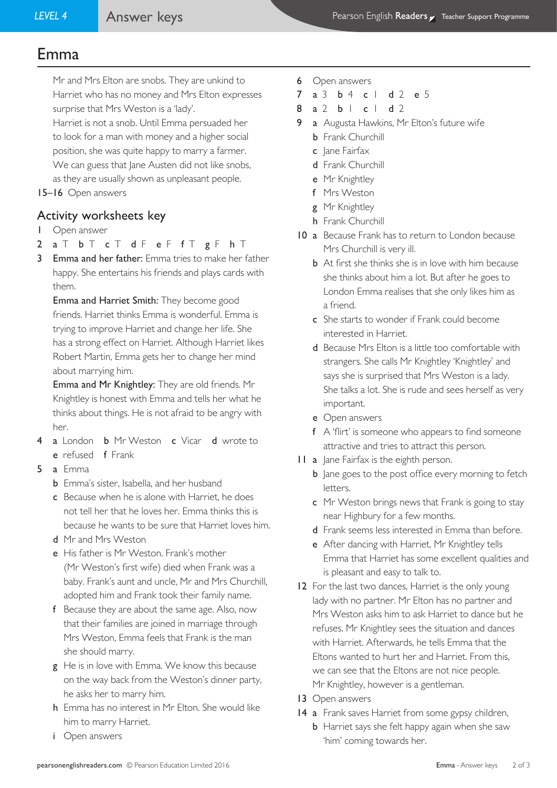Mr and Mrs Elton are snobs. They are unkind to Harriet who has no money and Mrs Elton expresses surprise that Mrs Weston is a 'lady'.

Harriet is not a snob. Until Emma persuaded her to look for a man with money and a higher social position, she was quite happy to marry a farmer. We can guess that Jane Austen did not like snobs, as they are usually shown as unpleasant people.

15–16 Open answers

# Activity worksheets key

- 1 Open answer
- 2 a T b T c T d F e F f T g F h T
- 3 Emma and her father: Emma tries to make her father happy. She entertains his friends and plays cards with them.

Emma and Harriet Smith: They become good friends. Harriet thinks Emma is wonderful. Emma is trying to improve Harriet and change her life. She has a strong effect on Harriet. Although Harriet likes Robert Martin, Emma gets her to change her mind about marrying him.

Emma and Mr Knightley: They are old friends. Mr Knightley is honest with Emma and tells her what he thinks about things. He is not afraid to be angry with her.

- 4 a London **b** Mr Weston **c** Vicar **d** wrote to e refused f Frank
- 5 a Emma
	- b Emma's sister, Isabella, and her husband
	- c Because when he is alone with Harriet, he does not tell her that he loves her. Emma thinks this is because he wants to be sure that Harriet loves him.
	- d Mr and Mrs Weston
	- e His father is Mr Weston. Frank's mother (Mr Weston's first wife) died when Frank was a baby. Frank's aunt and uncle, Mr and Mrs Churchill, adopted him and Frank took their family name.
	- f Because they are about the same age. Also, now that their families are joined in marriage through Mrs Weston, Emma feels that Frank is the man she should marry.
	- g He is in love with Emma. We know this because on the way back from the Weston's dinner party, he asks her to marry him.
	- h Emma has no interest in Mr Elton. She would like him to marry Harriet.
	- i Open answers
- 6 Open answers
- 7 a 3 b 4 c 1 d 2 e 5
- 8 a 2 b | c | d 2
- 9 a Augusta Hawkins, Mr Elton's future wife
	- **b** Frank Churchill
	- c lane Fairfax
	- d Frank Churchill
	- e Mr Knightley
	- f Mrs Weston
	- g Mr Knightley
	- h Frank Churchill
- 10 a Because Frank has to return to London because Mrs Churchill is very ill.
	- **b** At first she thinks she is in love with him because she thinks about him a lot. But after he goes to London Emma realises that she only likes him as a friend.
	- c She starts to wonder if Frank could become interested in Harriet.
	- d Because Mrs Elton is a little too comfortable with strangers. She calls Mr Knightley 'Knightley' and says she is surprised that Mrs Weston is a lady. She talks a lot. She is rude and sees herself as very important.
	- e Open answers
	- f A 'flirt' is someone who appears to find someone attractive and tries to attract this person.
- 11 a Jane Fairfax is the eighth person.
	- **b** Jane goes to the post office every morning to fetch letters.
	- c Mr Weston brings news that Frank is going to stay near Highbury for a few months.
	- d Frank seems less interested in Emma than before.
	- e After dancing with Harriet, Mr Knightley tells Emma that Harriet has some excellent qualities and is pleasant and easy to talk to.
- 12 For the last two dances, Harriet is the only young lady with no partner. Mr Elton has no partner and Mrs Weston asks him to ask Harriet to dance but he refuses. Mr Knightley sees the situation and dances with Harriet. Afterwards, he tells Emma that the Eltons wanted to hurt her and Harriet. From this, we can see that the Eltons are not nice people. Mr Knightley, however is a gentleman.
- 13 Open answers
- 14 a Frank saves Harriet from some gypsy children,
	- **b** Harriet says she felt happy again when she saw 'him' coming towards her.